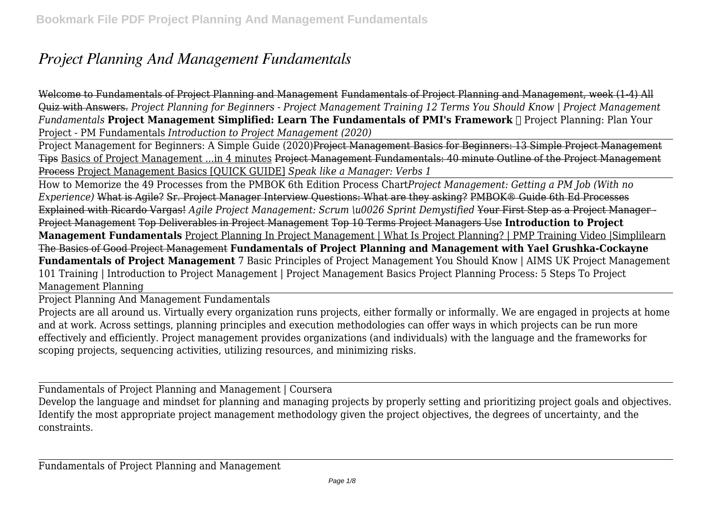## *Project Planning And Management Fundamentals*

Welcome to Fundamentals of Project Planning and Management Fundamentals of Project Planning and Management, week (1-4) All Quiz with Answers. *Project Planning for Beginners - Project Management Training 12 Terms You Should Know | Project Management Fundamentals* **Project Management Simplified: Learn The Fundamentals of PMI's Framework ✓** Project Planning: Plan Your Project - PM Fundamentals *Introduction to Project Management (2020)*

Project Management for Beginners: A Simple Guide (2020)Project Management Basics for Beginners: 13 Simple Project Management Tips Basics of Project Management ...in 4 minutes Project Management Fundamentals: 40 minute Outline of the Project Management Process Project Management Basics [QUICK GUIDE] *Speak like a Manager: Verbs 1*

How to Memorize the 49 Processes from the PMBOK 6th Edition Process Chart*Project Management: Getting a PM Job (With no Experience)* What is Agile? Sr. Project Manager Interview Questions: What are they asking? PMBOK® Guide 6th Ed Processes Explained with Ricardo Vargas! *Agile Project Management: Scrum \u0026 Sprint Demystified* Your First Step as a Project Manager - Project Management Top Deliverables in Project Management Top 10 Terms Project Managers Use **Introduction to Project Management Fundamentals** Project Planning In Project Management | What Is Project Planning? | PMP Training Video |Simplilearn The Basics of Good Project Management **Fundamentals of Project Planning and Management with Yael Grushka-Cockayne Fundamentals of Project Management** 7 Basic Principles of Project Management You Should Know | AIMS UK Project Management 101 Training | Introduction to Project Management | Project Management Basics Project Planning Process: 5 Steps To Project Management Planning

Project Planning And Management Fundamentals

Projects are all around us. Virtually every organization runs projects, either formally or informally. We are engaged in projects at home and at work. Across settings, planning principles and execution methodologies can offer ways in which projects can be run more effectively and efficiently. Project management provides organizations (and individuals) with the language and the frameworks for scoping projects, sequencing activities, utilizing resources, and minimizing risks.

Fundamentals of Project Planning and Management | Coursera

Develop the language and mindset for planning and managing projects by properly setting and prioritizing project goals and objectives. Identify the most appropriate project management methodology given the project objectives, the degrees of uncertainty, and the constraints.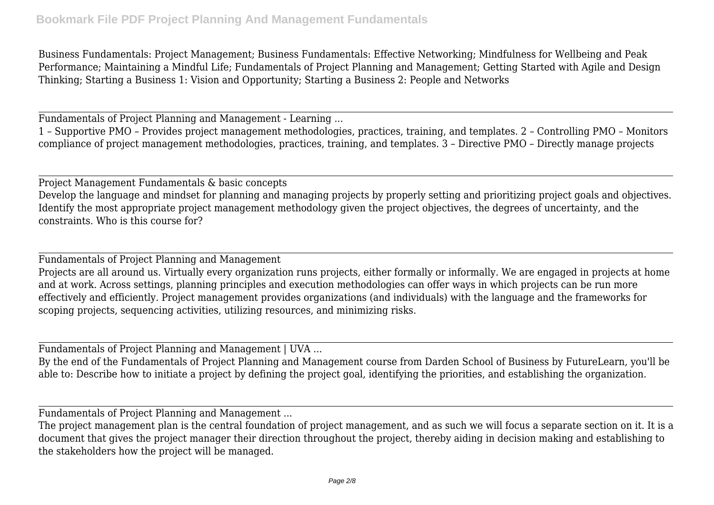Business Fundamentals: Project Management; Business Fundamentals: Effective Networking; Mindfulness for Wellbeing and Peak Performance; Maintaining a Mindful Life; Fundamentals of Project Planning and Management; Getting Started with Agile and Design Thinking; Starting a Business 1: Vision and Opportunity; Starting a Business 2: People and Networks

Fundamentals of Project Planning and Management - Learning ...

1 – Supportive PMO – Provides project management methodologies, practices, training, and templates. 2 – Controlling PMO – Monitors compliance of project management methodologies, practices, training, and templates. 3 – Directive PMO – Directly manage projects

Project Management Fundamentals & basic concepts Develop the language and mindset for planning and managing projects by properly setting and prioritizing project goals and objectives. Identify the most appropriate project management methodology given the project objectives, the degrees of uncertainty, and the constraints. Who is this course for?

Fundamentals of Project Planning and Management

Projects are all around us. Virtually every organization runs projects, either formally or informally. We are engaged in projects at home and at work. Across settings, planning principles and execution methodologies can offer ways in which projects can be run more effectively and efficiently. Project management provides organizations (and individuals) with the language and the frameworks for scoping projects, sequencing activities, utilizing resources, and minimizing risks.

Fundamentals of Project Planning and Management | UVA ...

By the end of the Fundamentals of Project Planning and Management course from Darden School of Business by FutureLearn, you'll be able to: Describe how to initiate a project by defining the project goal, identifying the priorities, and establishing the organization.

Fundamentals of Project Planning and Management ...

The project management plan is the central foundation of project management, and as such we will focus a separate section on it. It is a document that gives the project manager their direction throughout the project, thereby aiding in decision making and establishing to the stakeholders how the project will be managed.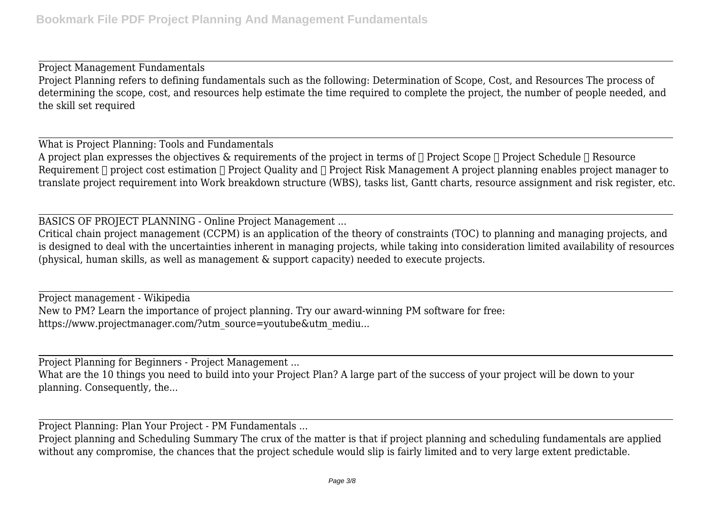Project Management Fundamentals Project Planning refers to defining fundamentals such as the following: Determination of Scope, Cost, and Resources The process of determining the scope, cost, and resources help estimate the time required to complete the project, the number of people needed, and the skill set required

What is Project Planning: Tools and Fundamentals A project plan expresses the objectives  $\&$  requirements of the project in terms of  $\Box$  Project Scope  $\Box$  Project Schedule  $\Box$  Resource Requirement  $\Box$  project cost estimation  $\Box$  Project Quality and  $\Box$  Project Risk Management A project planning enables project manager to translate project requirement into Work breakdown structure (WBS), tasks list, Gantt charts, resource assignment and risk register, etc.

BASICS OF PROJECT PLANNING - Online Project Management ...

Critical chain project management (CCPM) is an application of the theory of constraints (TOC) to planning and managing projects, and is designed to deal with the uncertainties inherent in managing projects, while taking into consideration limited availability of resources (physical, human skills, as well as management & support capacity) needed to execute projects.

Project management - Wikipedia New to PM? Learn the importance of project planning. Try our award-winning PM software for free: https://www.projectmanager.com/?utm\_source=youtube&utm\_mediu...

Project Planning for Beginners - Project Management ...

What are the 10 things you need to build into your Project Plan? A large part of the success of your project will be down to your planning. Consequently, the...

Project Planning: Plan Your Project - PM Fundamentals ...

Project planning and Scheduling Summary The crux of the matter is that if project planning and scheduling fundamentals are applied without any compromise, the chances that the project schedule would slip is fairly limited and to very large extent predictable.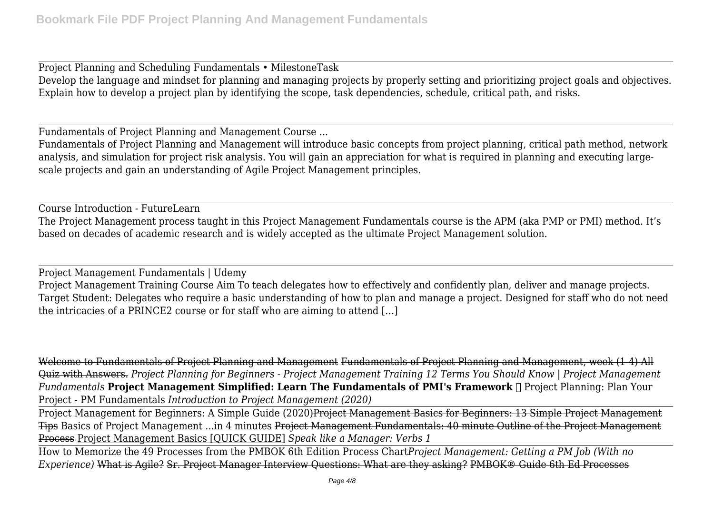Project Planning and Scheduling Fundamentals • MilestoneTask Develop the language and mindset for planning and managing projects by properly setting and prioritizing project goals and objectives. Explain how to develop a project plan by identifying the scope, task dependencies, schedule, critical path, and risks.

Fundamentals of Project Planning and Management Course ...

Fundamentals of Project Planning and Management will introduce basic concepts from project planning, critical path method, network analysis, and simulation for project risk analysis. You will gain an appreciation for what is required in planning and executing largescale projects and gain an understanding of Agile Project Management principles.

Course Introduction - FutureLearn The Project Management process taught in this Project Management Fundamentals course is the APM (aka PMP or PMI) method. It's based on decades of academic research and is widely accepted as the ultimate Project Management solution.

Project Management Fundamentals | Udemy Project Management Training Course Aim To teach delegates how to effectively and confidently plan, deliver and manage projects. Target Student: Delegates who require a basic understanding of how to plan and manage a project. Designed for staff who do not need the intricacies of a PRINCE2 course or for staff who are aiming to attend […]

Welcome to Fundamentals of Project Planning and Management Fundamentals of Project Planning and Management, week (1-4) All Quiz with Answers. *Project Planning for Beginners - Project Management Training 12 Terms You Should Know | Project Management Fundamentals* Project Management Simplified: Learn The Fundamentals of PMI's Framework ∏ Project Planning: Plan Your Project - PM Fundamentals *Introduction to Project Management (2020)*

Project Management for Beginners: A Simple Guide (2020)Project Management Basics for Beginners: 13 Simple Project Management Tips Basics of Project Management ...in 4 minutes Project Management Fundamentals: 40 minute Outline of the Project Management Process Project Management Basics [QUICK GUIDE] *Speak like a Manager: Verbs 1*

How to Memorize the 49 Processes from the PMBOK 6th Edition Process Chart*Project Management: Getting a PM Job (With no Experience)* What is Agile? Sr. Project Manager Interview Questions: What are they asking? PMBOK® Guide 6th Ed Processes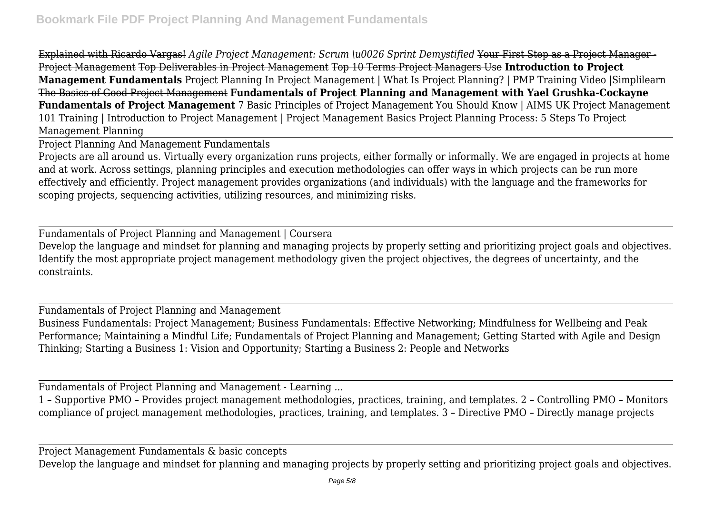Explained with Ricardo Vargas! *Agile Project Management: Scrum \u0026 Sprint Demystified* Your First Step as a Project Manager - Project Management Top Deliverables in Project Management Top 10 Terms Project Managers Use **Introduction to Project Management Fundamentals** Project Planning In Project Management | What Is Project Planning? | PMP Training Video |Simplilearn The Basics of Good Project Management **Fundamentals of Project Planning and Management with Yael Grushka-Cockayne Fundamentals of Project Management** 7 Basic Principles of Project Management You Should Know | AIMS UK Project Management 101 Training | Introduction to Project Management | Project Management Basics Project Planning Process: 5 Steps To Project Management Planning

Project Planning And Management Fundamentals

Projects are all around us. Virtually every organization runs projects, either formally or informally. We are engaged in projects at home and at work. Across settings, planning principles and execution methodologies can offer ways in which projects can be run more effectively and efficiently. Project management provides organizations (and individuals) with the language and the frameworks for scoping projects, sequencing activities, utilizing resources, and minimizing risks.

Fundamentals of Project Planning and Management | Coursera Develop the language and mindset for planning and managing projects by properly setting and prioritizing project goals and objectives. Identify the most appropriate project management methodology given the project objectives, the degrees of uncertainty, and the constraints.

Fundamentals of Project Planning and Management

Business Fundamentals: Project Management; Business Fundamentals: Effective Networking; Mindfulness for Wellbeing and Peak Performance; Maintaining a Mindful Life; Fundamentals of Project Planning and Management; Getting Started with Agile and Design Thinking; Starting a Business 1: Vision and Opportunity; Starting a Business 2: People and Networks

Fundamentals of Project Planning and Management - Learning ...

1 – Supportive PMO – Provides project management methodologies, practices, training, and templates. 2 – Controlling PMO – Monitors compliance of project management methodologies, practices, training, and templates. 3 – Directive PMO – Directly manage projects

Project Management Fundamentals & basic concepts

Develop the language and mindset for planning and managing projects by properly setting and prioritizing project goals and objectives.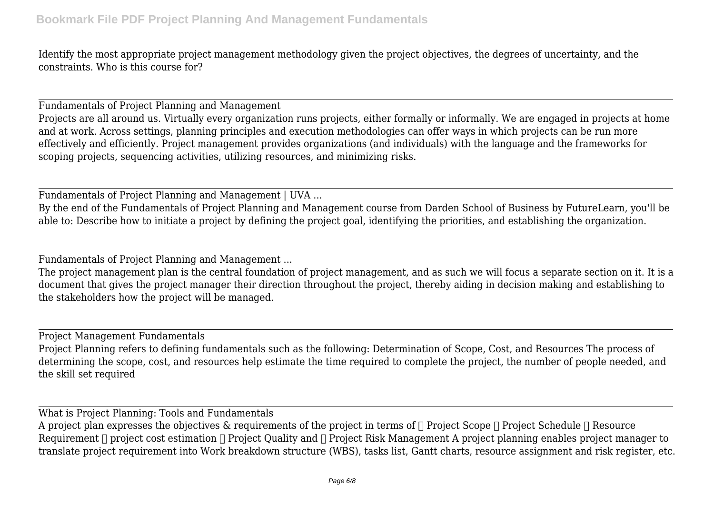Identify the most appropriate project management methodology given the project objectives, the degrees of uncertainty, and the constraints. Who is this course for?

Fundamentals of Project Planning and Management

Projects are all around us. Virtually every organization runs projects, either formally or informally. We are engaged in projects at home and at work. Across settings, planning principles and execution methodologies can offer ways in which projects can be run more effectively and efficiently. Project management provides organizations (and individuals) with the language and the frameworks for scoping projects, sequencing activities, utilizing resources, and minimizing risks.

Fundamentals of Project Planning and Management | UVA ...

By the end of the Fundamentals of Project Planning and Management course from Darden School of Business by FutureLearn, you'll be able to: Describe how to initiate a project by defining the project goal, identifying the priorities, and establishing the organization.

Fundamentals of Project Planning and Management ...

The project management plan is the central foundation of project management, and as such we will focus a separate section on it. It is a document that gives the project manager their direction throughout the project, thereby aiding in decision making and establishing to the stakeholders how the project will be managed.

Project Management Fundamentals

Project Planning refers to defining fundamentals such as the following: Determination of Scope, Cost, and Resources The process of determining the scope, cost, and resources help estimate the time required to complete the project, the number of people needed, and the skill set required

What is Project Planning: Tools and Fundamentals

A project plan expresses the objectives  $\&$  requirements of the project in terms of  $\Box$  Project Scope  $\Box$  Project Schedule  $\Box$  Resource Requirement  $\Box$  project cost estimation  $\Box$  Project Quality and  $\Box$  Project Risk Management A project planning enables project manager to translate project requirement into Work breakdown structure (WBS), tasks list, Gantt charts, resource assignment and risk register, etc.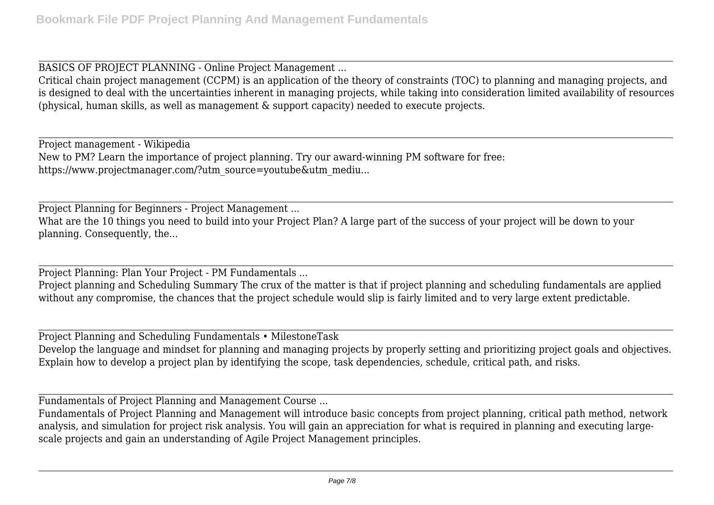BASICS OF PROJECT PLANNING - Online Project Management ...

Critical chain project management (CCPM) is an application of the theory of constraints (TOC) to planning and managing projects, and is designed to deal with the uncertainties inherent in managing projects, while taking into consideration limited availability of resources (physical, human skills, as well as management & support capacity) needed to execute projects.

Project management - Wikipedia New to PM? Learn the importance of project planning. Try our award-winning PM software for free: https://www.projectmanager.com/?utm\_source=youtube&utm\_mediu...

Project Planning for Beginners - Project Management ...

What are the 10 things you need to build into your Project Plan? A large part of the success of your project will be down to your planning. Consequently, the...

Project Planning: Plan Your Project - PM Fundamentals ...

Project planning and Scheduling Summary The crux of the matter is that if project planning and scheduling fundamentals are applied without any compromise, the chances that the project schedule would slip is fairly limited and to very large extent predictable.

Project Planning and Scheduling Fundamentals • MilestoneTask

Develop the language and mindset for planning and managing projects by properly setting and prioritizing project goals and objectives. Explain how to develop a project plan by identifying the scope, task dependencies, schedule, critical path, and risks.

Fundamentals of Project Planning and Management Course ...

Fundamentals of Project Planning and Management will introduce basic concepts from project planning, critical path method, network analysis, and simulation for project risk analysis. You will gain an appreciation for what is required in planning and executing largescale projects and gain an understanding of Agile Project Management principles.